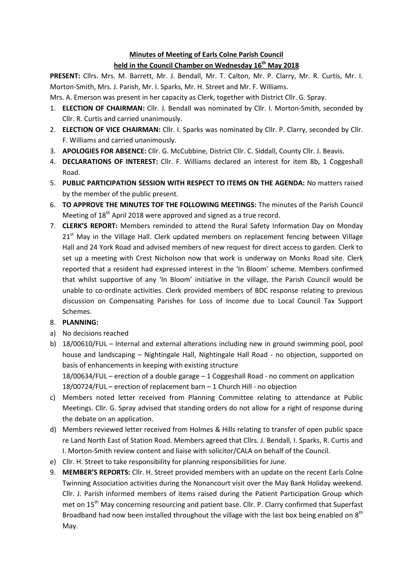## **Minutes of Meeting of Earls Colne Parish Council held in the Council Chamber on Wednesday 16th May 2018**

**PRESENT:** Cllrs. Mrs. M. Barrett, Mr. J. Bendall, Mr. T. Calton, Mr. P. Clarry, Mr. R. Curtis, Mr. I. Morton-Smith, Mrs. J. Parish, Mr. I. Sparks, Mr. H. Street and Mr. F. Williams.

Mrs. A. Emerson was present in her capacity as Clerk, together with District Cllr. G. Spray.

- 1. **ELECTION OF CHAIRMAN:** Cllr. J. Bendall was nominated by Cllr. I. Morton-Smith, seconded by Cllr. R. Curtis and carried unanimously.
- 2. **ELECTION OF VICE CHAIRMAN:** Cllr. I. Sparks was nominated by Cllr. P. Clarry, seconded by Cllr. F. Williams and carried unanimously.
- 3. **APOLOGIES FOR ABSENCE:** Cllr. G. McCubbine, District Cllr. C. Siddall, County Cllr. J. Beavis.
- 4. **DECLARATIONS OF INTEREST:** Cllr. F. Williams declared an interest for item 8b, 1 Coggeshall Road.
- 5. **PUBLIC PARTICIPATION SESSION WITH RESPECT TO ITEMS ON THE AGENDA:** No matters raised by the member of the public present.
- 6. **TO APPROVE THE MINUTES TOF THE FOLLOWING MEETINGS:** The minutes of the Parish Council Meeting of  $18<sup>th</sup>$  April 2018 were approved and signed as a true record.
- 7. **CLERK'S REPORT:** Members reminded to attend the Rural Safety Information Day on Monday  $21<sup>st</sup>$  May in the Village Hall. Clerk updated members on replacement fencing between Village Hall and 24 York Road and advised members of new request for direct access to garden. Clerk to set up a meeting with Crest Nicholson now that work is underway on Monks Road site. Clerk reported that a resident had expressed interest in the 'In Bloom' scheme. Members confirmed that whilst supportive of any 'In Bloom' initiative in the village, the Parish Council would be unable to co-ordinate activities. Clerk provided members of BDC response relating to previous discussion on Compensating Parishes for Loss of Income due to Local Council Tax Support Schemes.

## 8. **PLANNING:**

- a) No decisions reached
- b) 18/00610/FUL Internal and external alterations including new in ground swimming pool, pool house and landscaping – Nightingale Hall, Nightingale Hall Road - no objection, supported on basis of enhancements in keeping with existing structure 18/00634/FUL – erection of a double garage – 1 Coggeshall Road - no comment on application

18/00724/FUL – erection of replacement barn – 1 Church Hill - no objection

- c) Members noted letter received from Planning Committee relating to attendance at Public Meetings. Cllr. G. Spray advised that standing orders do not allow for a right of response during the debate on an application.
- d) Members reviewed letter received from Holmes & Hills relating to transfer of open public space re Land North East of Station Road. Members agreed that Cllrs. J. Bendall, I. Sparks, R. Curtis and I. Morton-Smith review content and liaise with solicitor/CALA on behalf of the Council.
- e) Cllr. H. Street to take responsibility for planning responsibilities for June.
- 9. **MEMBER'S REPORTS:** Cllr. H. Street provided members with an update on the recent Earls Colne Twinning Association activities during the Nonancourt visit over the May Bank Holiday weekend. Cllr. J. Parish informed members of items raised during the Patient Participation Group which met on 15<sup>th</sup> May concerning resourcing and patient base. Cllr. P. Clarry confirmed that Superfast Broadband had now been installed throughout the village with the last box being enabled on  $8<sup>th</sup>$ May.